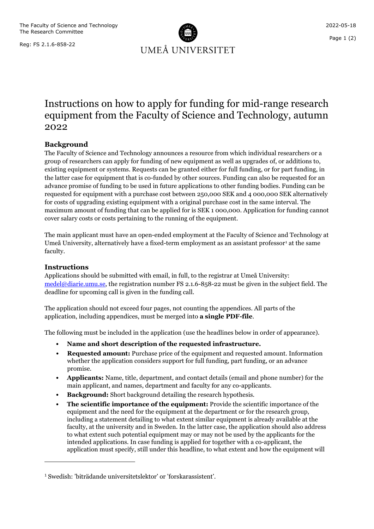The Faculty of Science and Technology The Research Committee

Reg: FS 2.1.6-858-22



## Instructions on how to apply for funding for mid-range research equipment from the Faculty of Science and Technology, autumn 2022

## **Background**

The Faculty of Science and Technology announces a resource from which individual researchers or a group of researchers can apply for funding of new equipment as well as upgrades of, or additions to, existing equipment or systems. Requests can be granted either for full funding, or for part funding, in the latter case for equipment that is co-funded by other sources. Funding can also be requested for an advance promise of funding to be used in future applications to other funding bodies. Funding can be requested for equipment with a purchase cost between 250,000 SEK and 4 000,000 SEK alternatively for costs of upgrading existing equipment with a original purchase cost in the same interval. The maximum amount of funding that can be applied for is SEK 1 000,000. Application for funding cannot cover salary costs or costs pertaining to the running of the equipment.

The main applicant must have an open-ended employment at the Faculty of Science and Technology at Umeå University, alternatively have a fixed-term employment as an assistant professor<sup>[1](#page-0-0)</sup> at the same faculty.

## **Instructions**

Applications should be submitted with email, in full, to the registrar at Umeå University: [medel@diarie.umu.se,](mailto:medel@diarie.umu.se) the registration number FS 2.1.6-858-22 must be given in the subject field. The deadline for upcoming call is given in the funding call.

The application should not exceed four pages, not counting the appendices. All parts of the application, including appendices, must be merged into **a single PDF-file**.

The following must be included in the application (use the headlines below in order of appearance).

- **Name and short description of the requested infrastructure.**
- **Requested amount:** Purchase price of the equipment and requested amount. Information whether the application considers support for full funding, part funding, or an advance promise.
- **Applicants:** Name, title, department, and contact details (email and phone number) for the main applicant, and names, department and faculty for any co-applicants.
- **Background:** Short background detailing the research hypothesis.
- **The scientific importance of the equipment:** Provide the scientific importance of the equipment and the need for the equipment at the department or for the research group, including a statement detailing to what extent similar equipment is already available at the faculty, at the university and in Sweden. In the latter case, the application should also address to what extent such potential equipment may or may not be used by the applicants for the intended applications. In case funding is applied for together with a co-applicant, the application must specify, still under this headline, to what extent and how the equipment will

<span id="page-0-0"></span><sup>1</sup> Swedish: 'biträdande universitetslektor' or 'forskarassistent'.